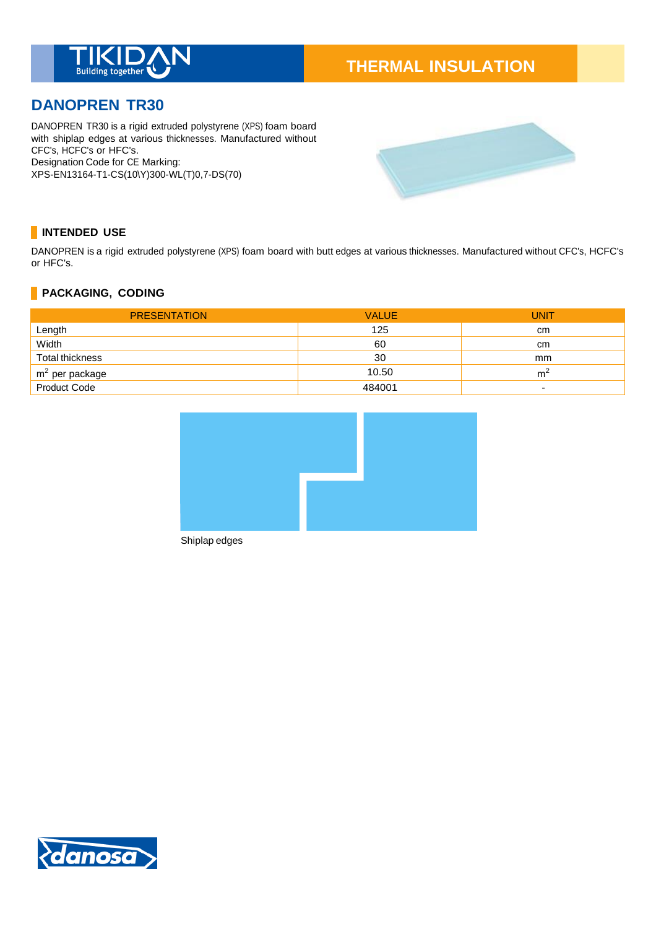

# **THERMAL INSULATION**

# **DANOPREN TR30**

DANOPREN TR30 is a rigid extruded polystyrene (XPS) foam board with shiplap edges at various thicknesses. Manufactured without CFC's, HCFC's or HFC's. Designation Code for CE Marking: XPS-EN13164-T1-CS(10\Y)300-WL(T)0,7-DS(70)



# **INTENDED USE**

DANOPREN is a rigid extruded polystyrene (XPS) foam board with butt edges at various thicknesses. Manufactured without CFC's, HCFC's or HFC's.

# **PACKAGING, CODING**

| <b>PRESENTATION</b> | <b>VALUE</b> | <b>UNIT</b>              |
|---------------------|--------------|--------------------------|
| Length              | 125          | cm                       |
| Width               | 60           | cm                       |
| Total thickness     | 30           | mm                       |
| $m2$ per package    | 10.50        | m <sup>2</sup>           |
| Product Code        | 484001       | $\overline{\phantom{a}}$ |



Shiplap edges

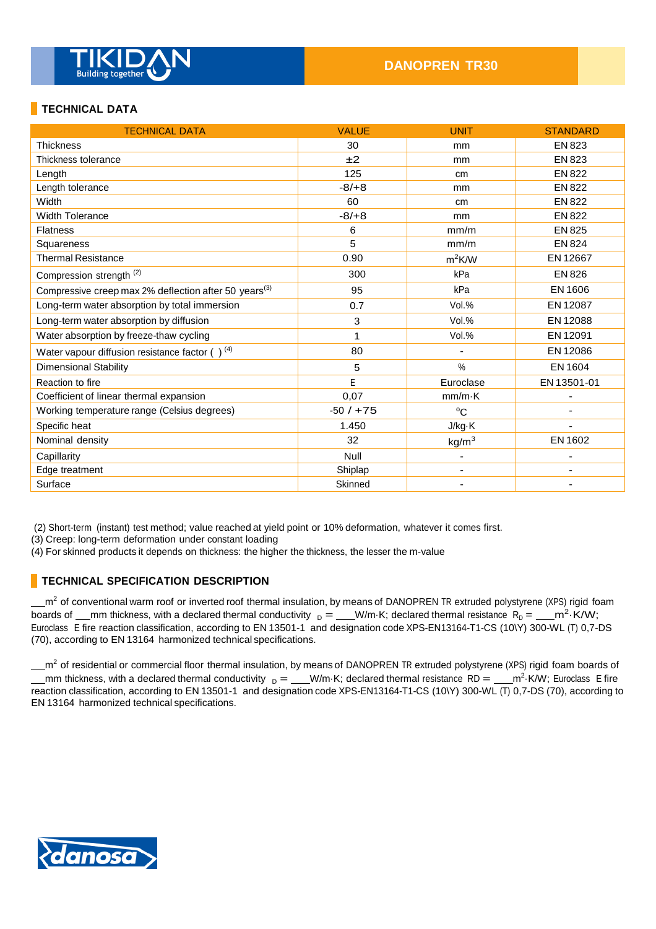

# **TECHNICAL DATA**

| <b>TECHNICAL DATA</b>                                             | <b>VALUE</b> | <b>UNIT</b>              | <b>STANDARD</b> |
|-------------------------------------------------------------------|--------------|--------------------------|-----------------|
| <b>Thickness</b>                                                  | 30           | mm                       | <b>EN 823</b>   |
| Thickness tolerance                                               | ±2           | mm                       | EN 823          |
| Length                                                            | 125          | cm                       | <b>EN 822</b>   |
| Length tolerance                                                  | $-8/+8$      | mm                       | <b>EN 822</b>   |
| Width                                                             | 60           | cm                       | <b>EN 822</b>   |
| <b>Width Tolerance</b>                                            | $-8/+8$      | mm                       | <b>EN 822</b>   |
| <b>Flatness</b>                                                   | 6            | mm/m                     | EN 825          |
| Squareness                                                        | 5            | mm/m                     | <b>EN 824</b>   |
| <b>Thermal Resistance</b>                                         | 0.90         | $m^2$ K/W                | EN 12667        |
| Compression strength <sup>(2)</sup>                               | 300          | kPa                      | EN 826          |
| Compressive creep max 2% deflection after 50 years <sup>(3)</sup> | 95           | kPa                      | EN 1606         |
| Long-term water absorption by total immersion                     | 0.7          | Vol.%                    | EN 12087        |
| Long-term water absorption by diffusion                           | 3            | Vol.%                    | EN 12088        |
| Water absorption by freeze-thaw cycling                           | 1            | Vol.%                    | EN 12091        |
| Water vapour diffusion resistance factor $( )^{(4)}$              | 80           |                          | EN 12086        |
| <b>Dimensional Stability</b>                                      | 5            | %                        | EN 1604         |
| Reaction to fire                                                  | E            | Euroclase                | EN 13501-01     |
| Coefficient of linear thermal expansion                           | 0,07         | $mm/m\cdot K$            |                 |
| Working temperature range (Celsius degrees)                       | $-50/ + 75$  | $^{\circ}C$              |                 |
| Specific heat                                                     | 1.450        | J/kg·K                   |                 |
| Nominal density                                                   | 32           | kg/m <sup>3</sup>        | EN 1602         |
| Capillarity                                                       | Null         | -                        |                 |
| Edge treatment                                                    | Shiplap      | $\overline{\phantom{a}}$ |                 |
| Surface                                                           | Skinned      |                          |                 |

(2) Short-term (instant) test method; value reached at yield point or 10% deformation, whatever it comes first.

(3) Creep: long-term deformation under constant loading

(4) For skinned products it depends on thickness: the higher the thickness, the lesser the m-value

### **TECHNICAL SPECIFICATION DESCRIPTION**

m<sup>2</sup> of conventional warm roof or inverted roof thermal insulation, by means of DANOPREN TR extruded polystyrene (XPS) rigid foam boards of \_\_mm thickness, with a declared thermal conductivity  $_D =$  \_\_W/m·K; declared thermal resistance  $R_D =$  \_\_m<sup>2</sup>·K/W; Euroclass E fire reaction classification, according to EN 13501-1 and designation code XPS-EN13164-T1-CS (10\Y) 300-WL (T) 0,7-DS (70), according to EN 13164 harmonized technical specifications.

m<sup>2</sup> of residential or commercial floor thermal insulation, by means of DANOPREN TR extruded polystyrene (XPS) rigid foam boards of mm thickness, with a declared thermal conductivity  $_D =$  W/m·K; declared thermal resistance RD =  $\frac{m^2}{K}$ W; Euroclass E fire reaction classification, according to EN 13501-1 and designation code XPS-EN13164-T1-CS (10\Y) 300-WL (T) 0,7-DS (70), according to EN 13164 harmonized technical specifications.

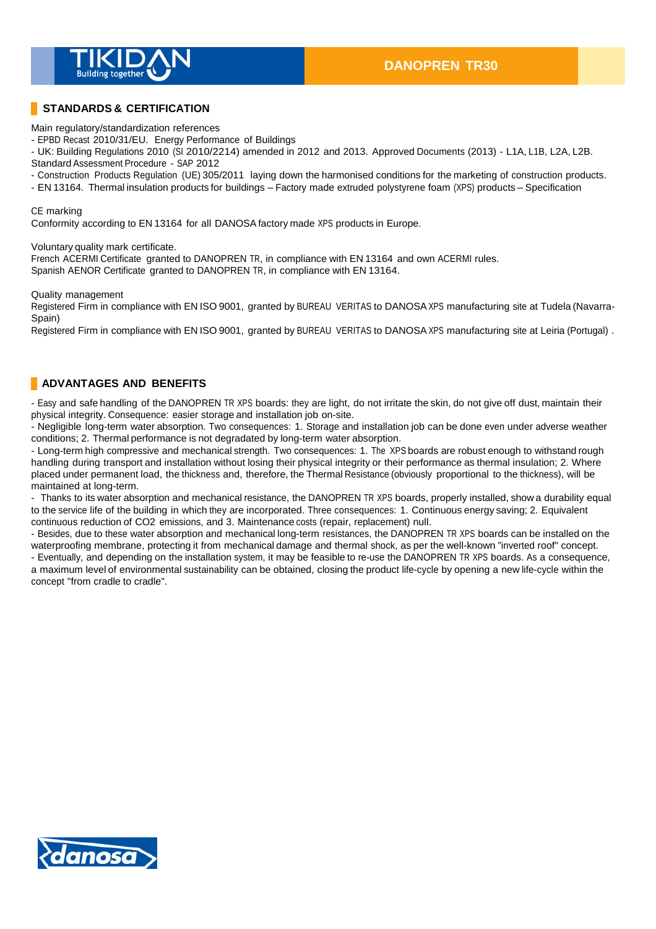

### **STANDARDS & CERTIFICATION**

Main regulatory/standardization references

- EPBD Recast 2010/31/EU. Energy Performance of Buildings

- UK: Building Regulations 2010 (SI 2010/2214) amended in 2012 and 2013. Approved Documents (2013) - L1A, L1B, L2A, L2B. Standard Assessment Procedure - SAP 2012

- Construction Products Regulation (UE) 305/2011 laying down the harmonised conditions for the marketing of construction products.

- EN 13164. Thermal insulation products for buildings – Factory made extruded polystyrene foam (XPS) products – Specification

#### CE marking

Conformity according to EN 13164 for all DANOSA factory made XPS products in Europe.

Voluntary quality mark certificate.

French ACERMI Certificate granted to DANOPREN TR, in compliance with EN 13164 and own ACERMI rules. Spanish AENOR Certificate granted to DANOPREN TR, in compliance with EN 13164.

Quality management

Registered Firm in compliance with EN ISO 9001, granted by BUREAU VERITAS to DANOSA XPS manufacturing site at Tudela (Navarra-Spain)

Registered Firm in compliance with EN ISO 9001, granted by BUREAU VERITAS to DANOSA XPS manufacturing site at Leiria (Portugal) .

### **ADVANTAGES AND BENEFITS**

- Easy and safe handling of the DANOPREN TR XPS boards: they are light, do not irritate the skin, do not give off dust, maintain their physical integrity. Consequence: easier storage and installation job on-site.

- Negligible long-term water absorption. Two consequences: 1. Storage and installation job can be done even under adverse weather conditions; 2. Thermal performance is not degradated by long-term water absorption.

- Long-term high compressive and mechanical strength. Two consequences: 1. The XPS boards are robust enough to withstand rough handling during transport and installation without losing their physical integrity or their performance as thermal insulation; 2. Where placed under permanent load, the thickness and, therefore, the Thermal Resistance (obviously proportional to the thickness), will be maintained at long-term.

- Thanks to its water absorption and mechanical resistance, the DANOPREN TR XPS boards, properly installed, show a durability equal to the service life of the building in which they are incorporated. Three consequences: 1. Continuous energy saving; 2. Equivalent continuous reduction of CO2 emissions, and 3. Maintenance costs (repair, replacement) null.

- Besides, due to these water absorption and mechanical long-term resistances, the DANOPREN TR XPS boards can be installed on the waterproofing membrane, protecting it from mechanical damage and thermal shock, as per the well-known "inverted roof" concept. - Eventually, and depending on the installation system, it may be feasible to re-use the DANOPREN TR XPS boards. As a consequence,

a maximum level of environmental sustainability can be obtained, closing the product life-cycle by opening a new life-cycle within the concept "from cradle to cradle".

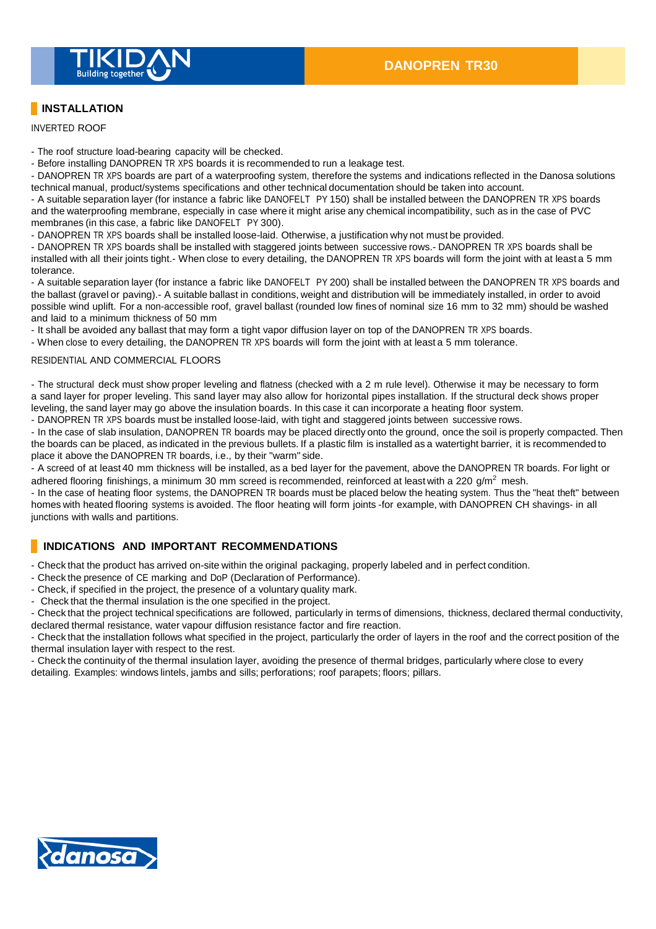

# **INSTALLATION**

INVERTED ROOF

- The roof structure load-bearing capacity will be checked.

- Before installing DANOPREN TR XPS boards it is recommended to run a leakage test.

- DANOPREN TR XPS boards are part of a waterproofing system, therefore the systems and indications reflected in the Danosa solutions technical manual, product/systems specifications and other technical documentation should be taken into account.

- A suitable separation layer (for instance a fabric like DANOFELT PY 150) shall be installed between the DANOPREN TR XPS boards and the waterproofing membrane, especially in case where it might arise any chemical incompatibility, such as in the case of PVC membranes (in this case, a fabric like DANOFELT PY 300).

- DANOPREN TR XPS boards shall be installed loose-laid. Otherwise, a justification why not must be provided.

- DANOPREN TR XPS boards shall be installed with staggered joints between successive rows.- DANOPREN TR XPS boards shall be installed with all their joints tight.- When close to every detailing, the DANOPREN TR XPS boards will form the joint with at least a 5 mm tolerance.

- A suitable separation layer (for instance a fabric like DANOFELT PY 200) shall be installed between the DANOPREN TR XPS boards and the ballast (gravel or paving).- A suitable ballast in conditions, weight and distribution will be immediately installed, in order to avoid possible wind uplift. For a non-accessible roof, gravel ballast (rounded low fines of nominal size 16 mm to 32 mm) should be washed and laid to a minimum thickness of 50 mm

- It shall be avoided any ballast that may form a tight vapor diffusion layer on top of the DANOPREN TR XPS boards.

- When close to every detailing, the DANOPREN TR XPS boards will form the joint with at least a 5 mm tolerance.

#### RESIDENTIAL AND COMMERCIAL FLOORS

- The structural deck must show proper leveling and flatness (checked with a 2 m rule level). Otherwise it may be necessary to form a sand layer for proper leveling. This sand layer may also allow for horizontal pipes installation. If the structural deck shows proper leveling, the sand layer may go above the insulation boards. In this case it can incorporate a heating floor system. - DANOPREN TR XPS boards must be installed loose-laid, with tight and staggered joints between successive rows.

- In the case of slab insulation, DANOPREN TR boards may be placed directly onto the ground, once the soil is properly compacted. Then the boards can be placed, as indicated in the previous bullets. If a plastic film is installed as a watertight barrier, it is recommended to

place it above the DANOPREN TR boards, i.e., by their "warm" side.

- A screed of at least 40 mm thickness will be installed, as a bed layer for the pavement, above the DANOPREN TR boards. For light or adhered flooring finishings, a minimum 30 mm screed is recommended, reinforced at least with a 220  $g/m^2$  mesh.

- In the case of heating floor systems, the DANOPREN TR boards must be placed below the heating system. Thus the "heat theft" between homes with heated flooring systems is avoided. The floor heating will form joints -for example, with DANOPREN CH shavings- in all junctions with walls and partitions.

## **INDICATIONS AND IMPORTANT RECOMMENDATIONS**

- Check that the product has arrived on-site within the original packaging, properly labeled and in perfect condition.

- Check the presence of CE marking and DoP (Declaration of Performance).
- Check, if specified in the project, the presence of a voluntary quality mark.
- Check that the thermal insulation is the one specified in the project.

- Check that the project technical specifications are followed, particularly in terms of dimensions, thickness, declared thermal conductivity, declared thermal resistance, water vapour diffusion resistance factor and fire reaction.

- Check that the installation follows what specified in the project, particularly the order of layers in the roof and the correct position of the thermal insulation layer with respect to the rest.

- Check the continuity of the thermal insulation layer, avoiding the presence of thermal bridges, particularly where close to every detailing. Examples: windows lintels, jambs and sills; perforations; roof parapets; floors; pillars.